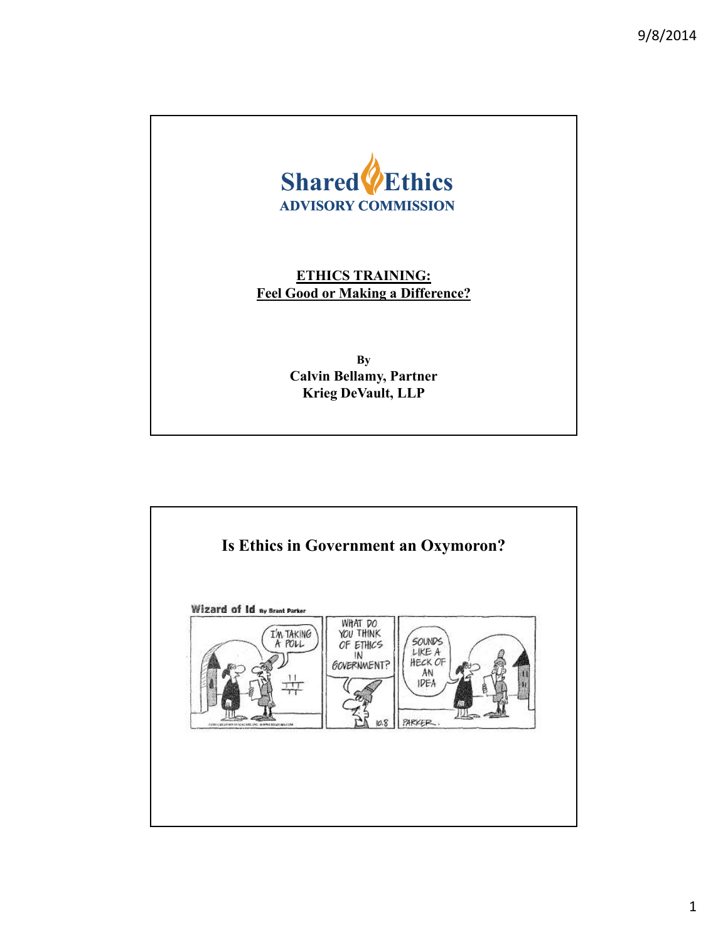

**ETHICS TRAINING: Feel Good or Making a Difference?**

> **By Calvin Bellamy, Partner Krieg DeVault, LLP**

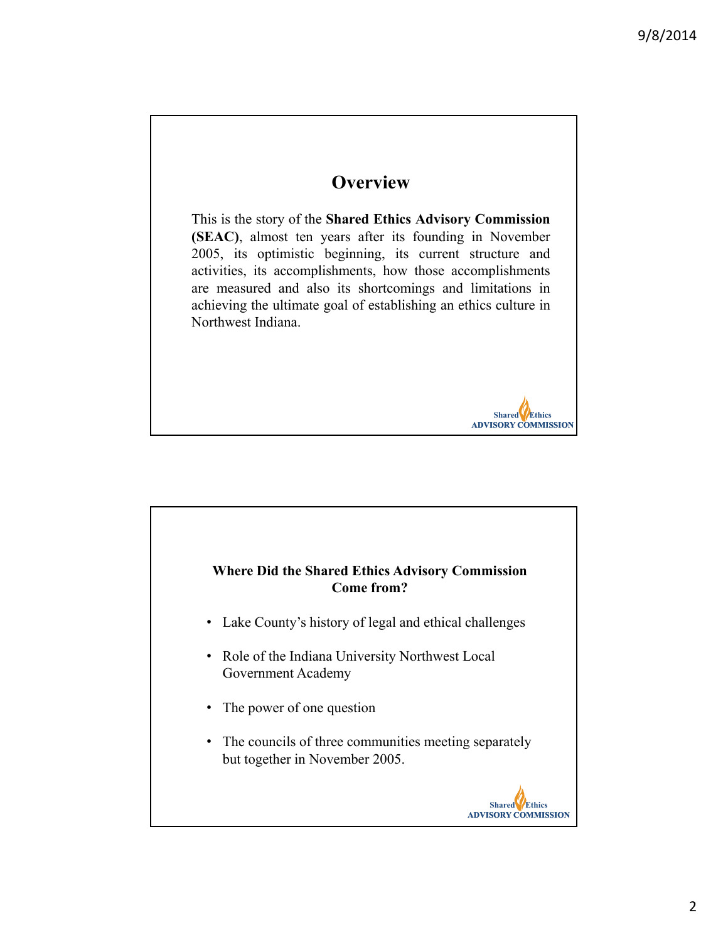# **Overview**

This is the story of the **Shared Ethics Advisory Commission (SEAC)**, almost ten years after its founding in November 2005, its optimistic beginning, its current structure and activities, its accomplishments, how those accomplishments are measured and also its shortcomings and limitations in achieving the ultimate goal of establishing an ethics culture in Northwest Indiana.

#### **Where Did the Shared Ethics Advisory Commission Come from?**

- Lake County's history of legal and ethical challenges
- Role of the Indiana University Northwest Local Government Academy
- The power of one question
- The councils of three communities meeting separately but together in November 2005.



**Shared Ethics ADVISORY COMMISSION**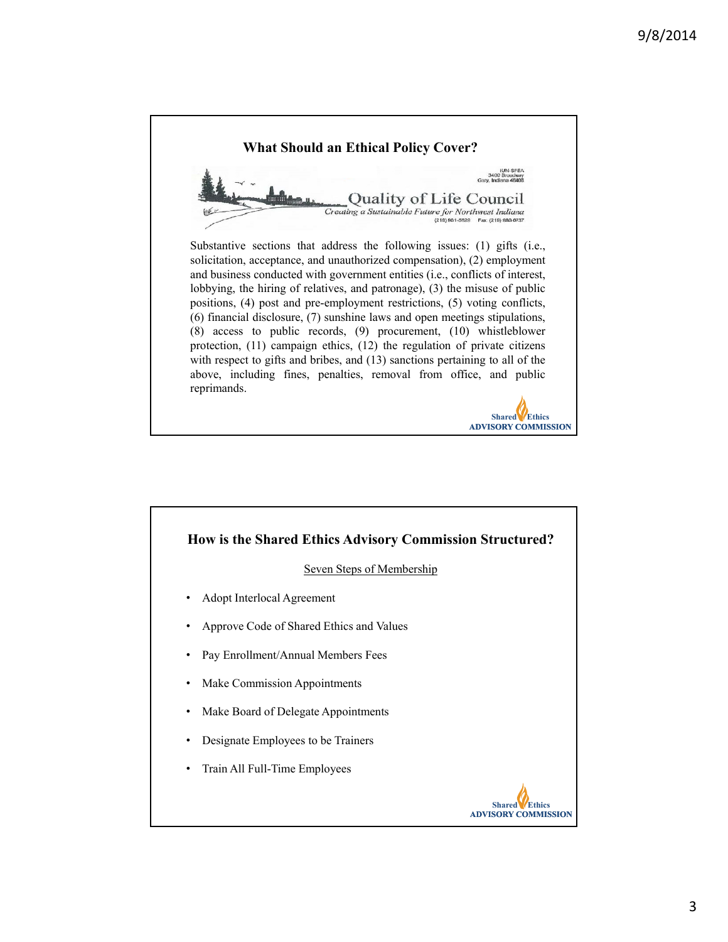

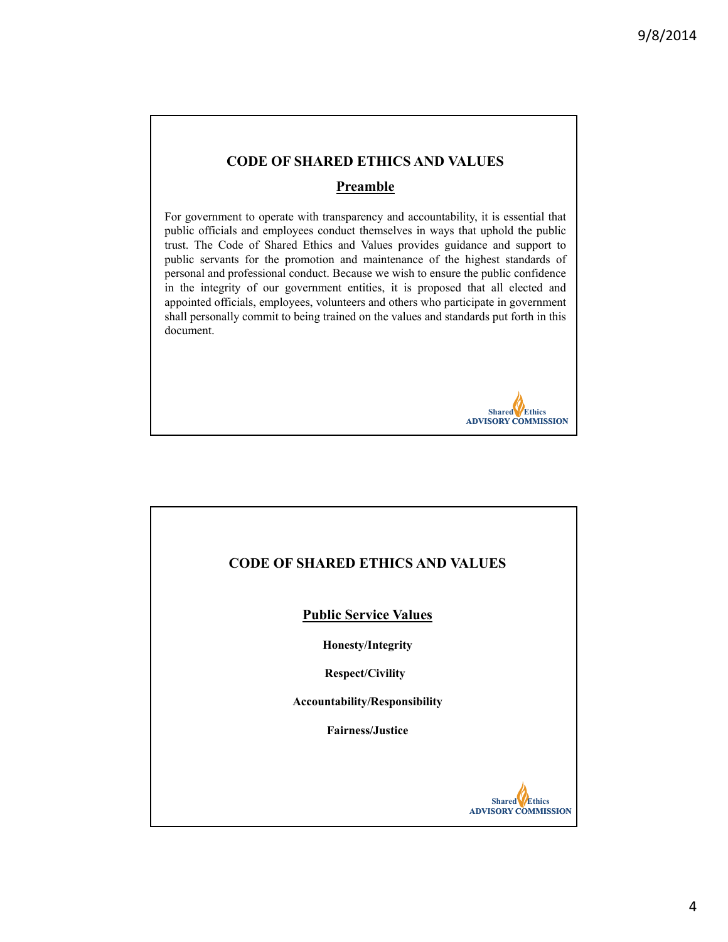# **CODE OF SHARED ETHICS AND VALUES**

### **Preamble**

For government to operate with transparency and accountability, it is essential that public officials and employees conduct themselves in ways that uphold the public trust. The Code of Shared Ethics and Values provides guidance and support to public servants for the promotion and maintenance of the highest standards of personal and professional conduct. Because we wish to ensure the public confidence in the integrity of our government entities, it is proposed that all elected and appointed officials, employees, volunteers and others who participate in government shall personally commit to being trained on the values and standards put forth in this document.



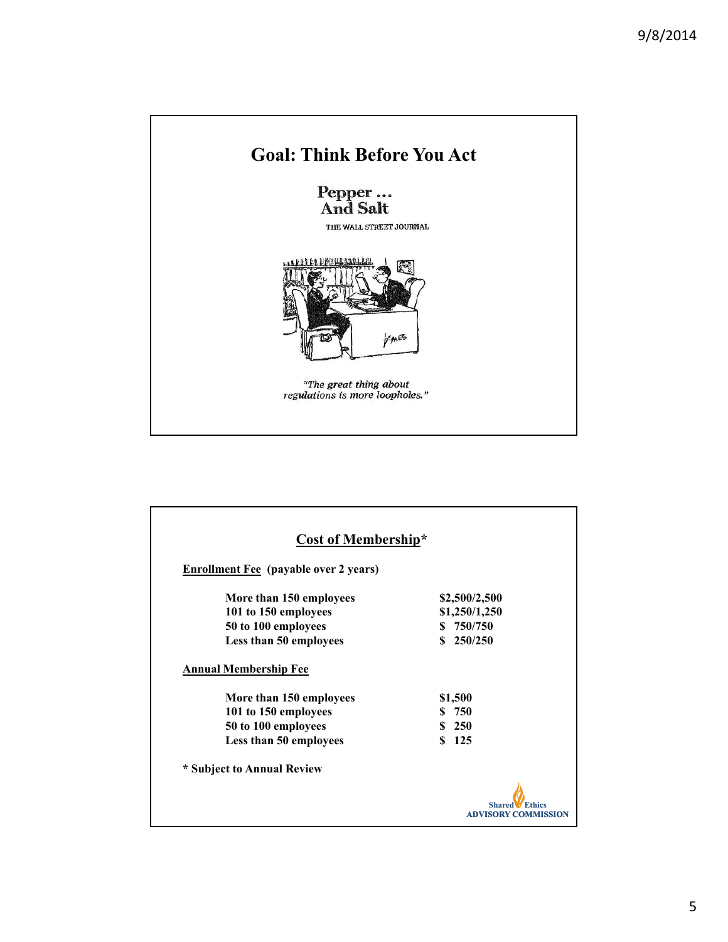

| <b>Cost of Membership*</b><br><b>Enrollment Fee</b> (payable over 2 years) |                            |  |
|----------------------------------------------------------------------------|----------------------------|--|
|                                                                            |                            |  |
| 101 to 150 employees                                                       | \$1,250/1,250              |  |
| 50 to 100 employees                                                        | \$750/750                  |  |
| Less than 50 employees                                                     | 250/250<br>\$              |  |
| <b>Annual Membership Fee</b><br>More than 150 employees                    | \$1,500                    |  |
| 101 to 150 employees                                                       | \$750                      |  |
| 50 to 100 employees                                                        | \$250                      |  |
| Less than 50 employees                                                     | 125<br>\$                  |  |
| * Subject to Annual Review                                                 |                            |  |
|                                                                            | <b>ADVISORY COMMISSION</b> |  |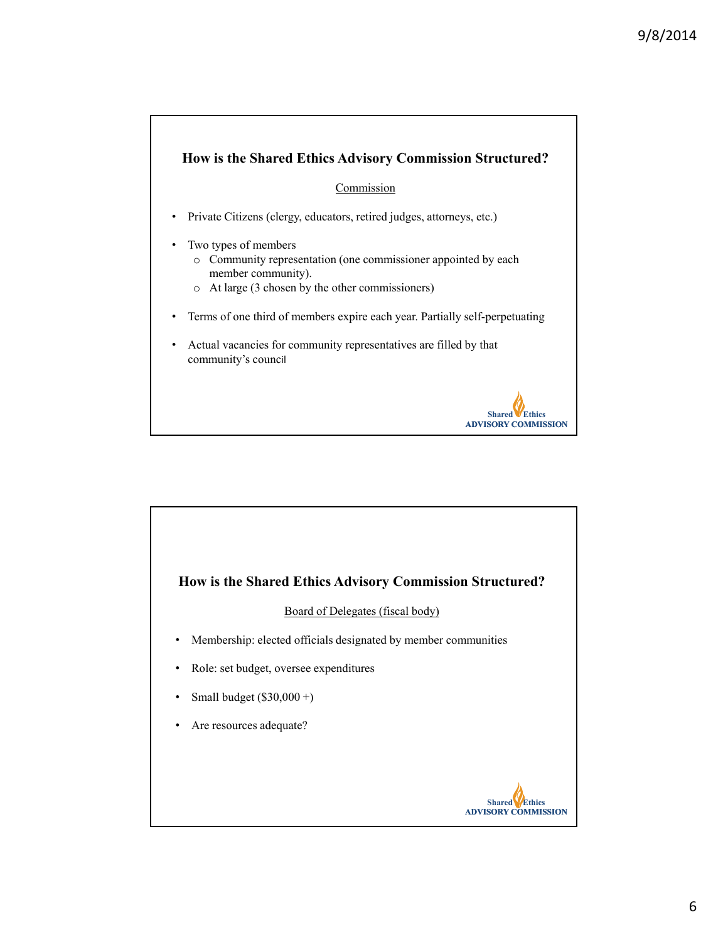

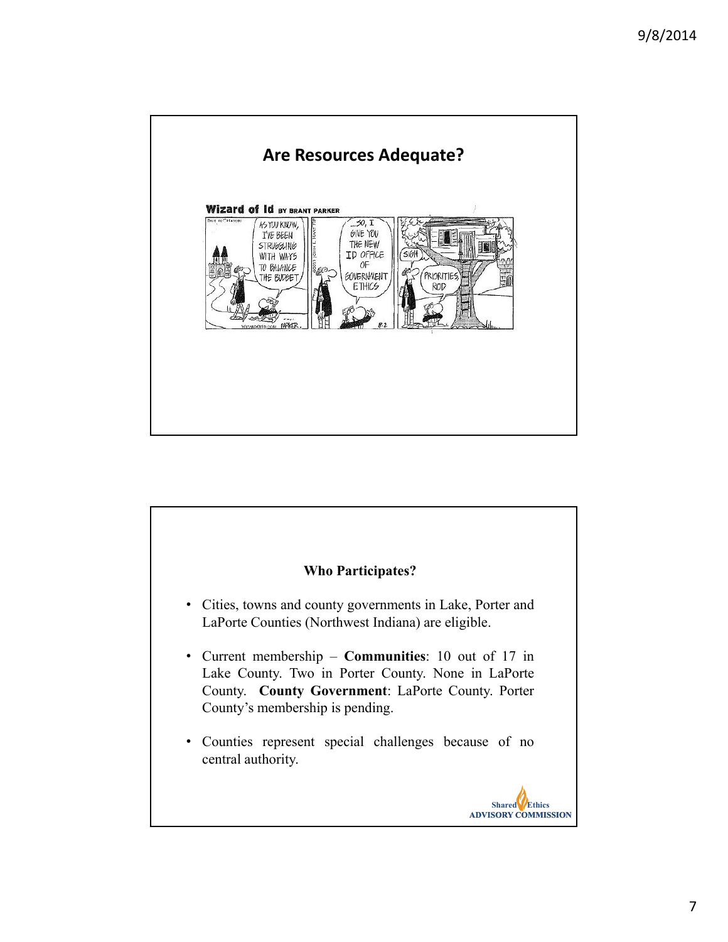

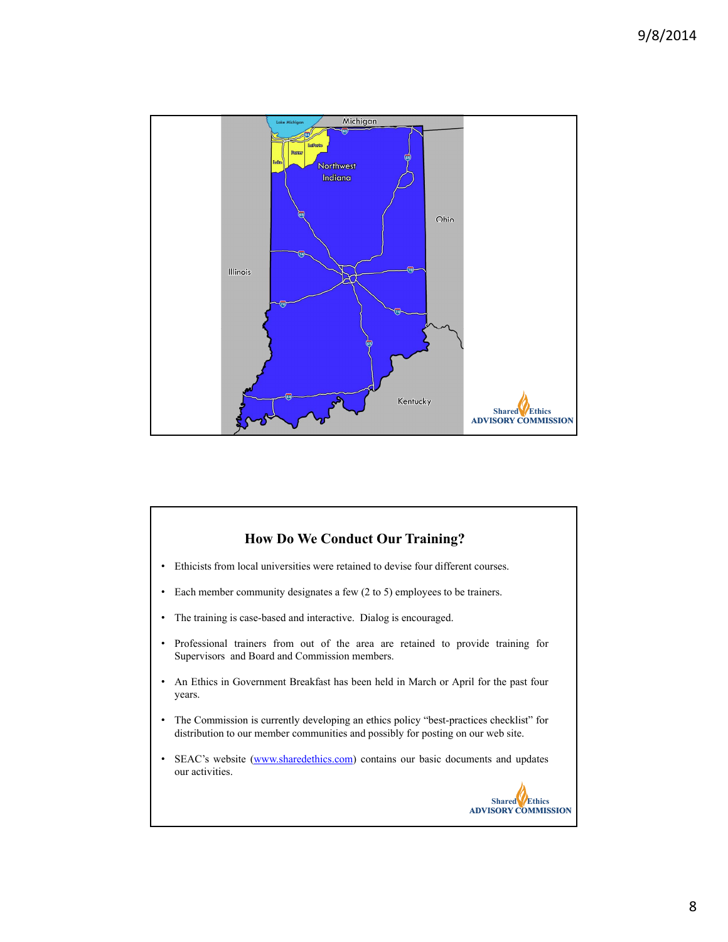

## **How Do We Conduct Our Training?**

- Ethicists from local universities were retained to devise four different courses.
- Each member community designates a few (2 to 5) employees to be trainers.
- The training is case-based and interactive. Dialog is encouraged.
- Professional trainers from out of the area are retained to provide training for Supervisors and Board and Commission members.
- An Ethics in Government Breakfast has been held in March or April for the past four years.
- The Commission is currently developing an ethics policy "best-practices checklist" for distribution to our member communities and possibly for posting on our web site.
- SEAC's website (www.sharedethics.com) contains our basic documents and updates our activities.

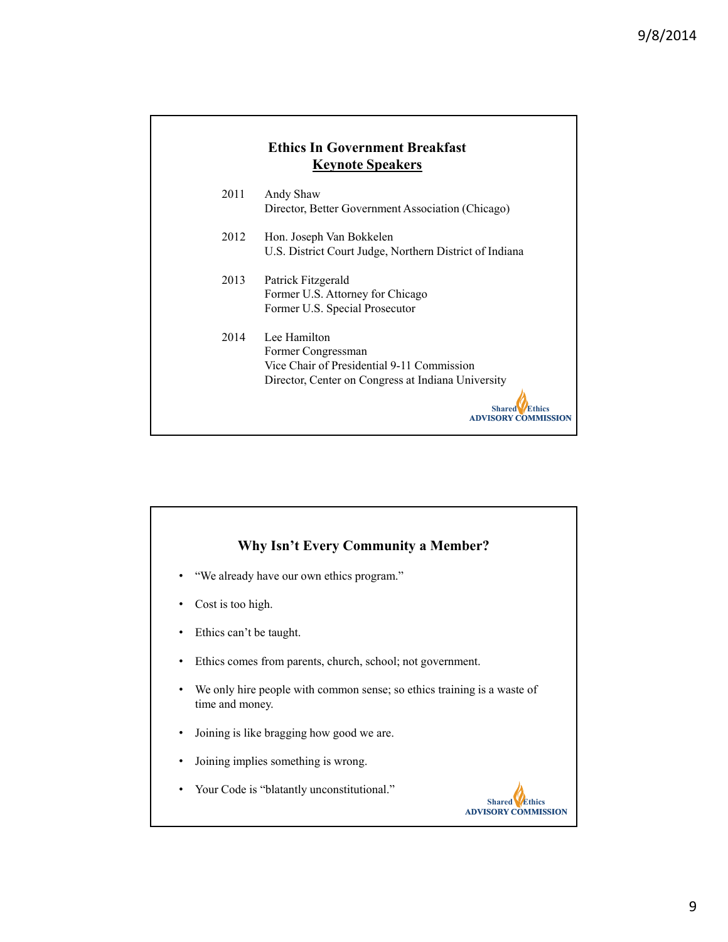| <b>Ethics In Government Breakfast</b><br><b>Keynote Speakers</b> |                                                                                                                                                                         |  |
|------------------------------------------------------------------|-------------------------------------------------------------------------------------------------------------------------------------------------------------------------|--|
| 2011                                                             | Andy Shaw<br>Director, Better Government Association (Chicago)                                                                                                          |  |
| 2012                                                             | Hon. Joseph Van Bokkelen<br>U.S. District Court Judge, Northern District of Indiana                                                                                     |  |
| 2013                                                             | Patrick Fitzgerald<br>Former U.S. Attorney for Chicago<br>Former U.S. Special Prosecutor                                                                                |  |
| 2014                                                             | Lee Hamilton<br>Former Congressman<br>Vice Chair of Presidential 9-11 Commission<br>Director, Center on Congress at Indiana University<br><b>Shared</b><br>IVISORY COME |  |

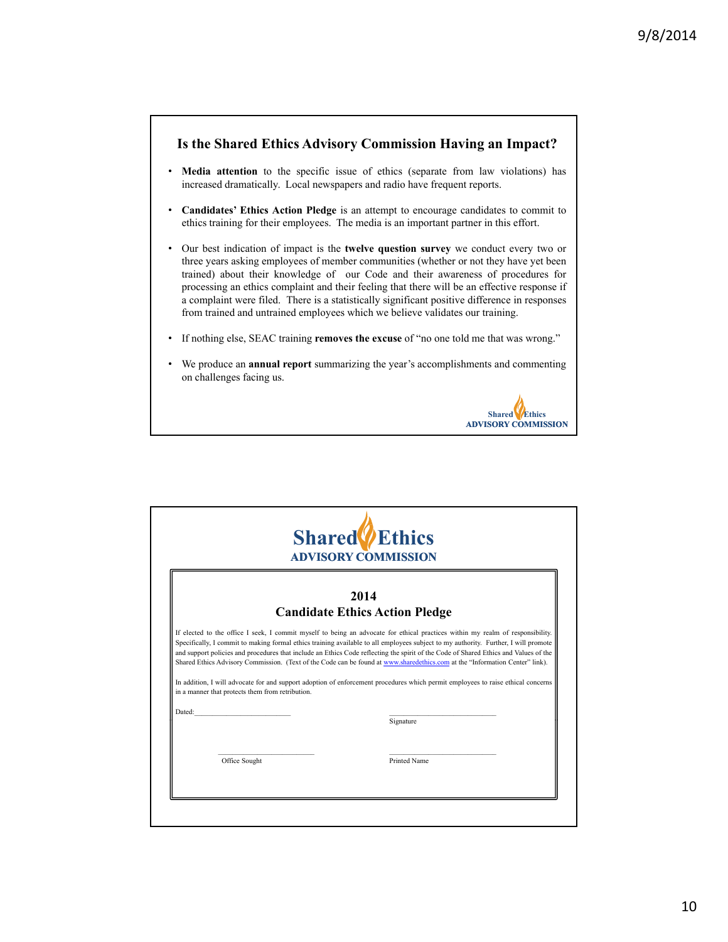#### **Is the Shared Ethics Advisory Commission Having an Impact?**

- **Media attention** to the specific issue of ethics (separate from law violations) has increased dramatically. Local newspapers and radio have frequent reports.
- **Candidates' Ethics Action Pledge** is an attempt to encourage candidates to commit to ethics training for their employees. The media is an important partner in this effort.
- Our best indication of impact is the **twelve question survey** we conduct every two or three years asking employees of member communities (whether or not they have yet been trained) about their knowledge of our Code and their awareness of procedures for processing an ethics complaint and their feeling that there will be an effective response if a complaint were filed. There is a statistically significant positive difference in responses from trained and untrained employees which we believe validates our training.
- If nothing else, SEAC training **removes the excuse** of "no one told me that was wrong."
- We produce an **annual report** summarizing the year's accomplishments and commenting on challenges facing us.

**Shared Ethics ADVISORY COMMISSION**

| <b>Shared</b> <i>L</i> Ethics<br><b>ADVISORY COMMISSION</b> |                                                  |                                                                                                                                                                                                                                                                                                                                                                                                          |
|-------------------------------------------------------------|--------------------------------------------------|----------------------------------------------------------------------------------------------------------------------------------------------------------------------------------------------------------------------------------------------------------------------------------------------------------------------------------------------------------------------------------------------------------|
|                                                             |                                                  | 2014                                                                                                                                                                                                                                                                                                                                                                                                     |
|                                                             |                                                  | <b>Candidate Ethics Action Pledge</b>                                                                                                                                                                                                                                                                                                                                                                    |
|                                                             | in a manner that protects them from retribution. | and support policies and procedures that include an Ethics Code reflecting the spirit of the Code of Shared Ethics and Values of the<br>Shared Ethics Advisory Commission. (Text of the Code can be found at www.sharedethics.com at the "Information Center" link).<br>In addition, I will advocate for and support adoption of enforcement procedures which permit employees to raise ethical concerns |
| Dated:                                                      |                                                  | Signature                                                                                                                                                                                                                                                                                                                                                                                                |
|                                                             | Office Sought                                    | <b>Printed Name</b>                                                                                                                                                                                                                                                                                                                                                                                      |